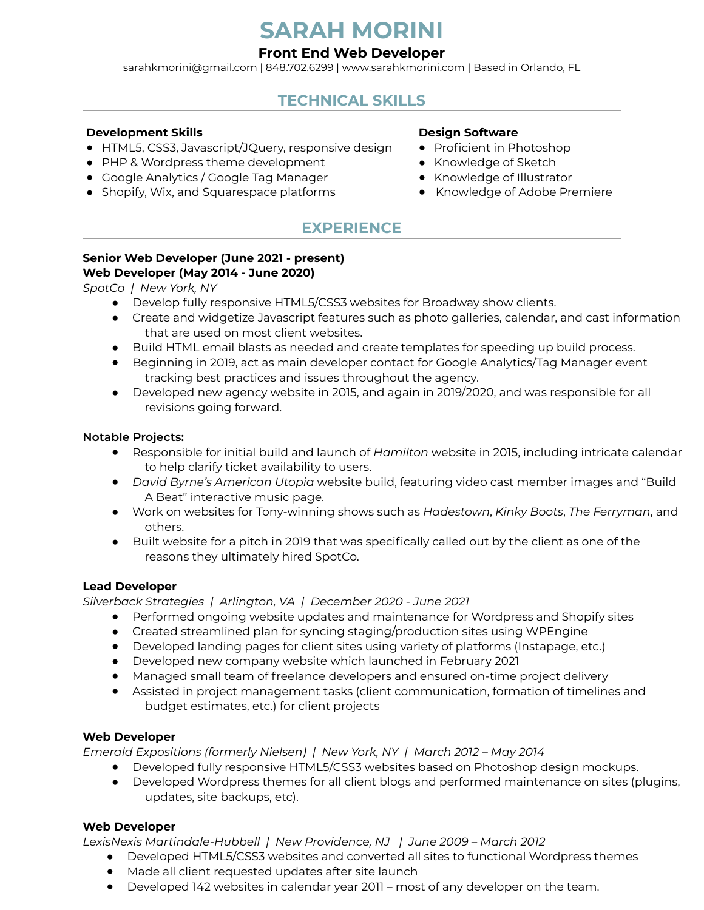# **SARAH MORINI**

## **Front End Web Developer**

[sarahkmorini@gmail.com](mailto:sarahkmorini@gmail.com) | 848.702.6299 | [www.sarahkmorini.com](http://www.sarahkmorini.com) | Based in Orlando, FL

# **TECHNICAL SKILLS**

#### **Development Skills**

- HTML5, CSS3, Javascript/JQuery, responsive design
- PHP & Wordpress theme development
- Google Analytics / Google Tag Manager
- Shopify, Wix, and Squarespace platforms

#### **Design Software**

- Proficient in Photoshop
- Knowledge of Sketch
- Knowledge of Illustrator
- Knowledge of Adobe Premiere

# **EXPERIENCE**

#### **Senior Web Developer (June 2021 - present) Web Developer (May 2014 - June 2020)**

*SpotCo | New York, NY* 

- Develop fully responsive HTML5/CSS3 websites for Broadway show clients.
- Create and widgetize Javascript features such as photo galleries, calendar, and cast information that are used on most client websites.
- Build HTML email blasts as needed and create templates for speeding up build process.
- Beginning in 2019, act as main developer contact for Google Analytics/Tag Manager event tracking best practices and issues throughout the agency.
- Developed new agency website in 2015, and again in 2019/2020, and was responsible for all revisions going forward.

#### **Notable Projects:**

- Responsible for initial build and launch of *Hamilton* website in 2015, including intricate calendar to help clarify ticket availability to users.
- *David Byrne's American Utopia* website build, featuring video cast member images and "Build A Beat" interactive music page.
- Work on websites for Tony-winning shows such as *Hadestown*, *Kinky Boots*, *The Ferryman*, and others.
- Built website for a pitch in 2019 that was specifically called out by the client as one of the reasons they ultimately hired SpotCo.

#### **Lead Developer**

*Silverback Strategies | Arlington, VA | December 2020 - June 2021*

- Performed ongoing website updates and maintenance for Wordpress and Shopify sites
- Created streamlined plan for syncing staging/production sites using WPEngine
- Developed landing pages for client sites using variety of platforms (Instapage, etc.)
- Developed new company website which launched in February 2021
- Managed small team of freelance developers and ensured on-time project delivery
- Assisted in project management tasks (client communication, formation of timelines and budget estimates, etc.) for client projects

#### **Web Developer**

*Emerald Expositions (formerly Nielsen) | New York, NY | March 2012 – May 2014*

- Developed fully responsive HTML5/CSS3 websites based on Photoshop design mockups.
- Developed Wordpress themes for all client blogs and performed maintenance on sites (plugins, updates, site backups, etc).

#### **Web Developer**

*LexisNexis Martindale-Hubbell | New Providence, NJ | June 2009 – March 2012*

- Developed HTML5/CSS3 websites and converted all sites to functional Wordpress themes
- Made all client requested updates after site launch
- Developed 142 websites in calendar year 2011 most of any developer on the team.